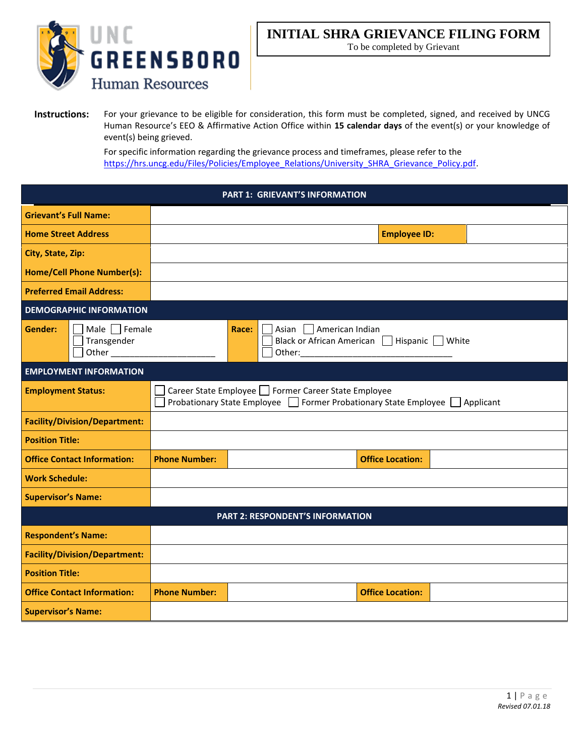

To be completed by Grievant

**Instructions:** For your grievance to be eligible for consideration, this form must be completed, signed, and received by UNCG Human Resource's EEO & Affirmative Action Office within **15 calendar days** of the event(s) or your knowledge of event(s) being grieved.

> For specific information regarding the grievance process and timeframes, please refer to the [https://hrs.uncg.edu/Files/Policies/Employee\\_Relations/University\\_SHRA\\_Grievance\\_Policy.pdf.](https://hrs.uncg.edu/Files/Policies/Employee_Relations/University_SHRA_Grievance_Policy.pdf)

| <b>PART 1: GRIEVANT'S INFORMATION</b>           |                                                                                                                                      |                                                                             |                         |  |  |
|-------------------------------------------------|--------------------------------------------------------------------------------------------------------------------------------------|-----------------------------------------------------------------------------|-------------------------|--|--|
| <b>Grievant's Full Name:</b>                    |                                                                                                                                      |                                                                             |                         |  |  |
| <b>Home Street Address</b>                      |                                                                                                                                      |                                                                             | <b>Employee ID:</b>     |  |  |
| City, State, Zip:                               |                                                                                                                                      |                                                                             |                         |  |  |
| <b>Home/Cell Phone Number(s):</b>               |                                                                                                                                      |                                                                             |                         |  |  |
| <b>Preferred Email Address:</b>                 |                                                                                                                                      |                                                                             |                         |  |  |
| <b>DEMOGRAPHIC INFORMATION</b>                  |                                                                                                                                      |                                                                             |                         |  |  |
| Male Female<br>Gender:<br>Transgender<br>Other_ |                                                                                                                                      | Asian     American Indian<br>Race:<br>Black or African American  <br>Other: | Hispanic White          |  |  |
| <b>EMPLOYMENT INFORMATION</b>                   |                                                                                                                                      |                                                                             |                         |  |  |
| <b>Employment Status:</b>                       | Career State Employee □ Former Career State Employee<br>Probationary State Employee □ Former Probationary State Employee □ Applicant |                                                                             |                         |  |  |
| <b>Facility/Division/Department:</b>            |                                                                                                                                      |                                                                             |                         |  |  |
| <b>Position Title:</b>                          |                                                                                                                                      |                                                                             |                         |  |  |
| <b>Office Contact Information:</b>              | <b>Phone Number:</b>                                                                                                                 |                                                                             | <b>Office Location:</b> |  |  |
| <b>Work Schedule:</b>                           |                                                                                                                                      |                                                                             |                         |  |  |
| <b>Supervisor's Name:</b>                       |                                                                                                                                      |                                                                             |                         |  |  |
| <b>PART 2: RESPONDENT'S INFORMATION</b>         |                                                                                                                                      |                                                                             |                         |  |  |
| <b>Respondent's Name:</b>                       |                                                                                                                                      |                                                                             |                         |  |  |
| <b>Facility/Division/Department:</b>            |                                                                                                                                      |                                                                             |                         |  |  |
| <b>Position Title:</b>                          |                                                                                                                                      |                                                                             |                         |  |  |
| <b>Office Contact Information:</b>              | <b>Phone Number:</b>                                                                                                                 |                                                                             | <b>Office Location:</b> |  |  |
| <b>Supervisor's Name:</b>                       |                                                                                                                                      |                                                                             |                         |  |  |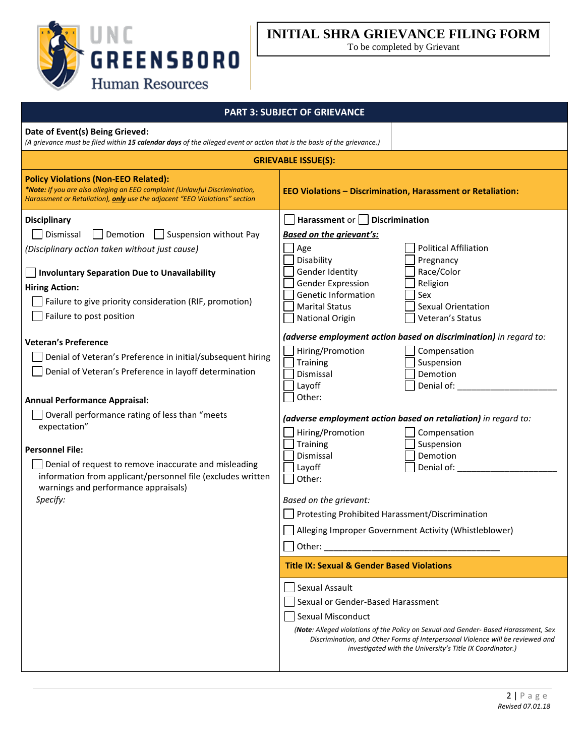

To be completed by Grievant

| <b>PART 3: SUBJECT OF GRIEVANCE</b>                                                                                                                                                                     |                                                                                                                                                                                                                                    |  |  |  |  |
|---------------------------------------------------------------------------------------------------------------------------------------------------------------------------------------------------------|------------------------------------------------------------------------------------------------------------------------------------------------------------------------------------------------------------------------------------|--|--|--|--|
| Date of Event(s) Being Grieved:<br>(A grievance must be filed within 15 calendar days of the alleged event or action that is the basis of the grievance.)                                               |                                                                                                                                                                                                                                    |  |  |  |  |
| <b>GRIEVABLE ISSUE(S):</b>                                                                                                                                                                              |                                                                                                                                                                                                                                    |  |  |  |  |
| <b>Policy Violations (Non-EEO Related):</b><br>*Note: If you are also alleging an EEO complaint (Unlawful Discrimination,<br>Harassment or Retaliation), only use the adjacent "EEO Violations" section | <b>EEO Violations - Discrimination, Harassment or Retaliation:</b>                                                                                                                                                                 |  |  |  |  |
| <b>Disciplinary</b>                                                                                                                                                                                     | Harassment or $\vert$ Discrimination                                                                                                                                                                                               |  |  |  |  |
| $\Box$ Suspension without Pay<br>Dismissal<br>Demotion                                                                                                                                                  | <b>Based on the grievant's:</b>                                                                                                                                                                                                    |  |  |  |  |
| (Disciplinary action taken without just cause)                                                                                                                                                          | <b>Political Affiliation</b><br>Age<br>Disability<br>Pregnancy                                                                                                                                                                     |  |  |  |  |
| <b>Involuntary Separation Due to Unavailability</b>                                                                                                                                                     | Race/Color<br>Gender Identity<br>Gender Expression<br>Religion                                                                                                                                                                     |  |  |  |  |
| <b>Hiring Action:</b>                                                                                                                                                                                   | Genetic Information<br>Sex                                                                                                                                                                                                         |  |  |  |  |
| Failure to give priority consideration (RIF, promotion)<br>Failure to post position                                                                                                                     | <b>Sexual Orientation</b><br><b>Marital Status</b>                                                                                                                                                                                 |  |  |  |  |
|                                                                                                                                                                                                         | <b>National Origin</b><br>Veteran's Status                                                                                                                                                                                         |  |  |  |  |
| <b>Veteran's Preference</b>                                                                                                                                                                             | (adverse employment action based on discrimination) in regard to:                                                                                                                                                                  |  |  |  |  |
| Denial of Veteran's Preference in initial/subsequent hiring                                                                                                                                             | Hiring/Promotion<br>Compensation<br>Training<br>Suspension                                                                                                                                                                         |  |  |  |  |
| Denial of Veteran's Preference in layoff determination                                                                                                                                                  | Demotion<br>Dismissal                                                                                                                                                                                                              |  |  |  |  |
|                                                                                                                                                                                                         | Layoff<br>Denial of:                                                                                                                                                                                                               |  |  |  |  |
| <b>Annual Performance Appraisal:</b>                                                                                                                                                                    | Other:                                                                                                                                                                                                                             |  |  |  |  |
| Overall performance rating of less than "meets                                                                                                                                                          | (adverse employment action based on retaliation) in regard to:                                                                                                                                                                     |  |  |  |  |
| expectation"                                                                                                                                                                                            | Hiring/Promotion<br>Compensation                                                                                                                                                                                                   |  |  |  |  |
| <b>Personnel File:</b>                                                                                                                                                                                  | Suspension<br>Training                                                                                                                                                                                                             |  |  |  |  |
| Denial of request to remove inaccurate and misleading                                                                                                                                                   | Demotion<br>Dismissal<br>Denial of:<br>Layoff                                                                                                                                                                                      |  |  |  |  |
| information from applicant/personnel file (excludes written                                                                                                                                             | Other:                                                                                                                                                                                                                             |  |  |  |  |
| warnings and performance appraisals)<br>Specify:                                                                                                                                                        |                                                                                                                                                                                                                                    |  |  |  |  |
|                                                                                                                                                                                                         | Based on the grievant:<br>Protesting Prohibited Harassment/Discrimination                                                                                                                                                          |  |  |  |  |
|                                                                                                                                                                                                         | Alleging Improper Government Activity (Whistleblower)                                                                                                                                                                              |  |  |  |  |
|                                                                                                                                                                                                         |                                                                                                                                                                                                                                    |  |  |  |  |
|                                                                                                                                                                                                         |                                                                                                                                                                                                                                    |  |  |  |  |
|                                                                                                                                                                                                         | <b>Title IX: Sexual &amp; Gender Based Violations</b>                                                                                                                                                                              |  |  |  |  |
|                                                                                                                                                                                                         | Sexual Assault                                                                                                                                                                                                                     |  |  |  |  |
|                                                                                                                                                                                                         | Sexual or Gender-Based Harassment                                                                                                                                                                                                  |  |  |  |  |
|                                                                                                                                                                                                         | Sexual Misconduct                                                                                                                                                                                                                  |  |  |  |  |
|                                                                                                                                                                                                         | (Note: Alleged violations of the Policy on Sexual and Gender- Based Harassment, Sex<br>Discrimination, and Other Forms of Interpersonal Violence will be reviewed and<br>investigated with the University's Title IX Coordinator.) |  |  |  |  |
|                                                                                                                                                                                                         |                                                                                                                                                                                                                                    |  |  |  |  |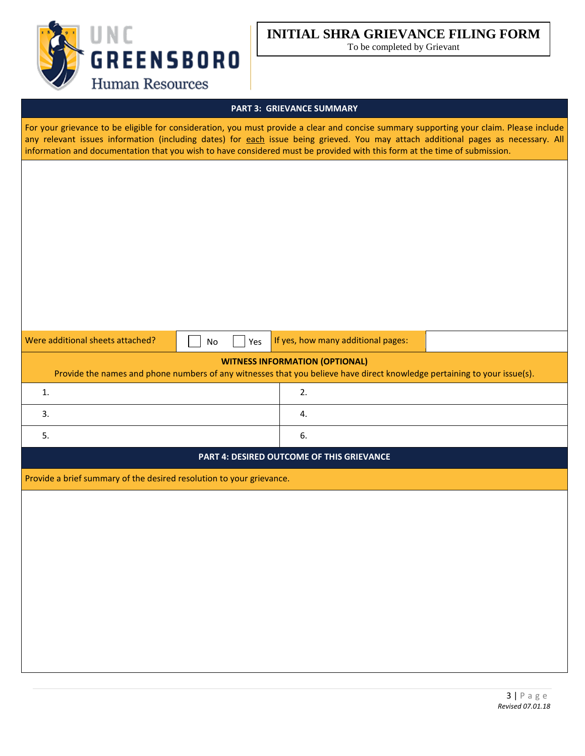

To be completed by Grievant

### **PART 3: GRIEVANCE SUMMARY**

For your grievance to be eligible for consideration, you must provide a clear and concise summary supporting your claim. Please include any relevant issues information (including dates) for each issue being grieved. You may attach additional pages as necessary. All information and documentation that you wish to have considered must be provided with this form at the time of submission.

| Were additional sheets attached? |  |
|----------------------------------|--|
|----------------------------------|--|

 $N_o$   $\Box$  Yes If yes, how many additional pages:

## **WITNESS INFORMATION (OPTIONAL)**

Provide the names and phone numbers of any witnesses that you believe have direct knowledge pertaining to your issue(s).

### **PART 4: DESIRED OUTCOME OF THIS GRIEVANCE**

Provide a brief summary of the desired resolution to your grievance.